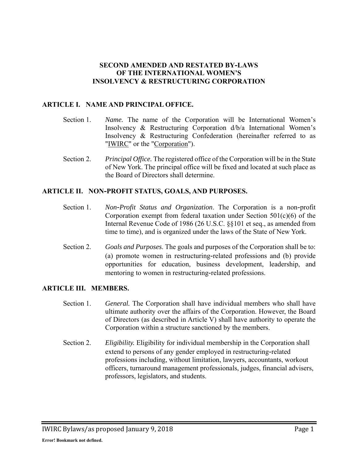#### **SECOND AMENDED AND RESTATED BY-LAWS OF THE INTERNATIONAL WOMEN'S INSOLVENCY & RESTRUCTURING CORPORATION**

### **ARTICLE I. NAME AND PRINCIPAL OFFICE.**

- Section 1. *Name.* The name of the Corporation will be International Women's Insolvency & Restructuring Corporation d/b/a International Women's Insolvency & Restructuring Confederation (hereinafter referred to as "IWIRC" or the "Corporation").
- Section 2. *Principal Office.* The registered office of the Corporation will be in the State of New York. The principal office will be fixed and located at such place as the Board of Directors shall determine.

#### **ARTICLE II. NON-PROFIT STATUS, GOALS, AND PURPOSES.**

- Section 1. *Non-Profit Status and Organization*. The Corporation is a non-profit Corporation exempt from federal taxation under Section  $501(c)(6)$  of the Internal Revenue Code of 1986 (26 U.S.C. §§101 et seq., as amended from time to time), and is organized under the laws of the State of New York.
- Section 2. *Goals and Purposes*. The goals and purposes of the Corporation shall be to: (a) promote women in restructuring-related professions and (b) provide opportunities for education, business development, leadership, and mentoring to women in restructuring-related professions.

#### **ARTICLE III. MEMBERS.**

- Section 1. *General.* The Corporation shall have individual members who shall have ultimate authority over the affairs of the Corporation. However, the Board of Directors (as described in Article V) shall have authority to operate the Corporation within a structure sanctioned by the members.
- Section 2. *Eligibility.* Eligibility for individual membership in the Corporation shall extend to persons of any gender employed in restructuring-related professions including, without limitation, lawyers, accountants, workout officers, turnaround management professionals, judges, financial advisers, professors, legislators, and students.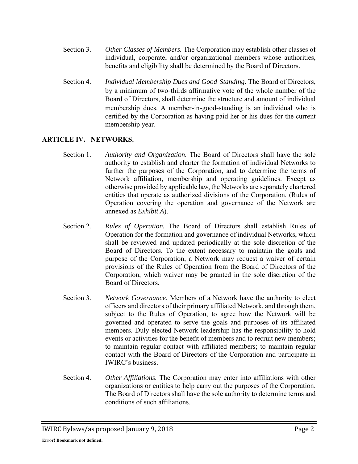- Section 3. *Other Classes of Members.* The Corporation may establish other classes of individual, corporate, and/or organizational members whose authorities, benefits and eligibility shall be determined by the Board of Directors.
- Section 4. *Individual Membership Dues and Good-Standing.* The Board of Directors, by a minimum of two-thirds affirmative vote of the whole number of the Board of Directors, shall determine the structure and amount of individual membership dues. A member-in-good-standing is an individual who is certified by the Corporation as having paid her or his dues for the current membership year.

### **ARTICLE IV. NETWORKS.**

- Section 1. *Authority and Organization.* The Board of Directors shall have the sole authority to establish and charter the formation of individual Networks to further the purposes of the Corporation, and to determine the terms of Network affiliation, membership and operating guidelines. Except as otherwise provided by applicable law, the Networks are separately chartered entities that operate as authorized divisions of the Corporation. (Rules of Operation covering the operation and governance of the Network are annexed as *Exhibit A*).
- Section 2. *Rules of Operation.* The Board of Directors shall establish Rules of Operation for the formation and governance of individual Networks, which shall be reviewed and updated periodically at the sole discretion of the Board of Directors. To the extent necessary to maintain the goals and purpose of the Corporation, a Network may request a waiver of certain provisions of the Rules of Operation from the Board of Directors of the Corporation, which waiver may be granted in the sole discretion of the Board of Directors.
- Section 3. *Network Governance*. Members of a Network have the authority to elect officers and directors of their primary affiliated Network, and through them, subject to the Rules of Operation, to agree how the Network will be governed and operated to serve the goals and purposes of its affiliated members. Duly elected Network leadership has the responsibility to hold events or activities for the benefit of members and to recruit new members; to maintain regular contact with affiliated members; to maintain regular contact with the Board of Directors of the Corporation and participate in IWIRC's business.
- Section 4. *Other Affiliations.* The Corporation may enter into affiliations with other organizations or entities to help carry out the purposes of the Corporation. The Board of Directors shall have the sole authority to determine terms and conditions of such affiliations.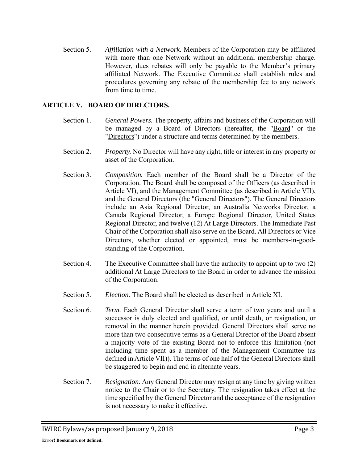Section 5. *Affiliation with a Network.* Members of the Corporation may be affiliated with more than one Network without an additional membership charge. However, dues rebates will only be payable to the Member's primary affiliated Network. The Executive Committee shall establish rules and procedures governing any rebate of the membership fee to any network from time to time.

### **ARTICLE V. BOARD OF DIRECTORS.**

- Section 1. *General Powers.* The property, affairs and business of the Corporation will be managed by a Board of Directors (hereafter, the "Board" or the "Directors") under a structure and terms determined by the members.
- Section 2. *Property.* No Director will have any right, title or interest in any property or asset of the Corporation.
- Section 3. *Composition.* Each member of the Board shall be a Director of the Corporation. The Board shall be composed of the Officers (as described in Article VI), and the Management Committee (as described in Article VII), and the General Directors (the "General Directors"). The General Directors include an Asia Regional Director, an Australia Networks Director, a Canada Regional Director, a Europe Regional Director, United States Regional Director, and twelve (12) At Large Directors. The Immediate Past Chair of the Corporation shall also serve on the Board. All Directors or Vice Directors, whether elected or appointed, must be members-in-goodstanding of the Corporation.
- Section 4. The Executive Committee shall have the authority to appoint up to two (2) additional At Large Directors to the Board in order to advance the mission of the Corporation.
- Section 5. *Election.* The Board shall be elected as described in Article XI.
- Section 6. *Term.* Each General Director shall serve a term of two years and until a successor is duly elected and qualified, or until death, or resignation, or removal in the manner herein provided. General Directors shall serve no more than two consecutive terms as a General Director of the Board absent a majority vote of the existing Board not to enforce this limitation (not including time spent as a member of the Management Committee (as defined in Article VII)). The terms of one half of the General Directors shall be staggered to begin and end in alternate years.
- Section 7. *Resignation.* Any General Director may resign at any time by giving written notice to the Chair or to the Secretary. The resignation takes effect at the time specified by the General Director and the acceptance of the resignation is not necessary to make it effective.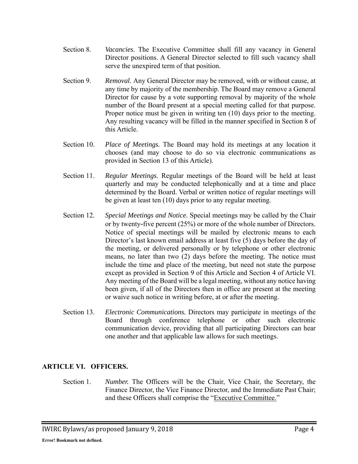- Section 8. *Vacancies.* The Executive Committee shall fill any vacancy in General Director positions. A General Director selected to fill such vacancy shall serve the unexpired term of that position.
- Section 9. *Removal.* Any General Director may be removed, with or without cause, at any time by majority of the membership. The Board may remove a General Director for cause by a vote supporting removal by majority of the whole number of the Board present at a special meeting called for that purpose. Proper notice must be given in writing ten (10) days prior to the meeting. Any resulting vacancy will be filled in the manner specified in Section 8 of this Article.
- Section 10. *Place of Meetings.* The Board may hold its meetings at any location it chooses (and may choose to do so via electronic communications as provided in Section 13 of this Article).
- Section 11. *Regular Meetings.* Regular meetings of the Board will be held at least quarterly and may be conducted telephonically and at a time and place determined by the Board. Verbal or written notice of regular meetings will be given at least ten (10) days prior to any regular meeting.
- Section 12. *Special Meetings and Notice.* Special meetings may be called by the Chair or by twenty-five percent (25%) or more of the whole number of Directors. Notice of special meetings will be mailed by electronic means to each Director's last known email address at least five (5) days before the day of the meeting, or delivered personally or by telephone or other electronic means, no later than two (2) days before the meeting. The notice must include the time and place of the meeting, but need not state the purpose except as provided in Section 9 of this Article and Section 4 of Article VI. Any meeting of the Board will be a legal meeting, without any notice having been given, if all of the Directors then in office are present at the meeting or waive such notice in writing before, at or after the meeting.
- Section 13. *Electronic Communications.* Directors may participate in meetings of the Board through conference telephone or other such electronic communication device, providing that all participating Directors can hear one another and that applicable law allows for such meetings.

# **ARTICLE VI. OFFICERS.**

Section 1. *Number.* The Officers will be the Chair, Vice Chair, the Secretary, the Finance Director, the Vice Finance Director, and the Immediate Past Chair; and these Officers shall comprise the "Executive Committee."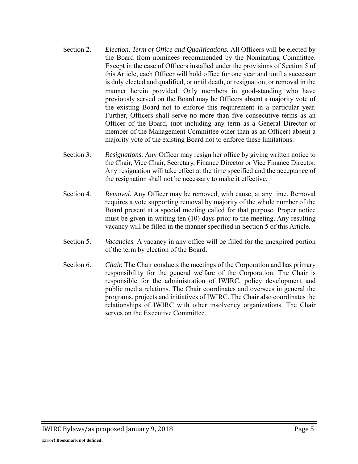- Section 2. *Election, Term of Office and Qualifications.* All Officers will be elected by the Board from nominees recommended by the Nominating Committee. Except in the case of Officers installed under the provisions of Section 5 of this Article, each Officer will hold office for one year and until a successor is duly elected and qualified, or until death, or resignation, or removal in the manner herein provided. Only members in good-standing who have previously served on the Board may be Officers absent a majority vote of the existing Board not to enforce this requirement in a particular year. Further, Officers shall serve no more than five consecutive terms as an Officer of the Board, (not including any term as a General Director or member of the Management Committee other than as an Officer) absent a majority vote of the existing Board not to enforce these limitations.
- Section 3. *Resignations.* Any Officer may resign her office by giving written notice to the Chair, Vice Chair, Secretary, Finance Director or Vice Finance Director. Any resignation will take effect at the time specified and the acceptance of the resignation shall not be necessary to make it effective.
- Section 4. *Removal.* Any Officer may be removed, with cause, at any time. Removal requires a vote supporting removal by majority of the whole number of the Board present at a special meeting called for that purpose. Proper notice must be given in writing ten (10) days prior to the meeting. Any resulting vacancy will be filled in the manner specified in Section 5 of this Article.
- Section 5. *Vacancies.* A vacancy in any office will be filled for the unexpired portion of the term by election of the Board.
- Section 6. *Chair.* The Chair conducts the meetings of the Corporation and has primary responsibility for the general welfare of the Corporation. The Chair is responsible for the administration of IWIRC, policy development and public media relations. The Chair coordinates and oversees in general the programs, projects and initiatives of IWIRC. The Chair also coordinates the relationships of IWIRC with other insolvency organizations. The Chair serves on the Executive Committee.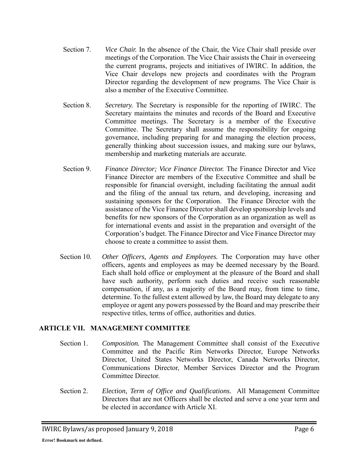- Section 7. *Vice Chair.* In the absence of the Chair, the Vice Chair shall preside over meetings of the Corporation. The Vice Chair assists the Chair in overseeing the current programs, projects and initiatives of IWIRC. In addition, the Vice Chair develops new projects and coordinates with the Program Director regarding the development of new programs. The Vice Chair is also a member of the Executive Committee.
- Section 8. *Secretary.* The Secretary is responsible for the reporting of IWIRC. The Secretary maintains the minutes and records of the Board and Executive Committee meetings. The Secretary is a member of the Executive Committee. The Secretary shall assume the responsibility for ongoing governance, including preparing for and managing the election process, generally thinking about succession issues, and making sure our bylaws, membership and marketing materials are accurate.
- Section 9. *Finance Director; Vice Finance Director.* The Finance Director and Vice Finance Director are members of the Executive Committee and shall be responsible for financial oversight, including facilitating the annual audit and the filing of the annual tax return, and developing, increasing and sustaining sponsors for the Corporation. The Finance Director with the assistance of the Vice Finance Director shall develop sponsorship levels and benefits for new sponsors of the Corporation as an organization as well as for international events and assist in the preparation and oversight of the Corporation's budget. The Finance Director and Vice Finance Director may choose to create a committee to assist them.
- Section 10. *Other Officers, Agents and Employees.* The Corporation may have other officers, agents and employees as may be deemed necessary by the Board. Each shall hold office or employment at the pleasure of the Board and shall have such authority, perform such duties and receive such reasonable compensation, if any, as a majority of the Board may, from time to time, determine. To the fullest extent allowed by law, the Board may delegate to any employee or agent any powers possessed by the Board and may prescribe their respective titles, terms of office, authorities and duties.

### **ARTICLE VII. MANAGEMENT COMMITTEE**

- Section 1. *Composition.* The Management Committee shall consist of the Executive Committee and the Pacific Rim Networks Director, Europe Networks Director, United States Networks Director, Canada Networks Director, Communications Director, Member Services Director and the Program Committee Director.
- Section 2. *Election, Term of Office and Qualifications.* All Management Committee Directors that are not Officers shall be elected and serve a one year term and be elected in accordance with Article XI.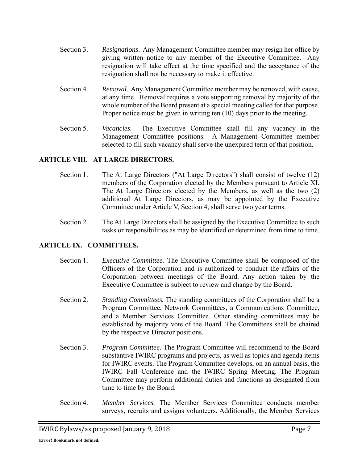- Section 3. *Resignations*. Any Management Committee member may resign her office by giving written notice to any member of the Executive Committee. Any resignation will take effect at the time specified and the acceptance of the resignation shall not be necessary to make it effective.
- Section 4. *Removal*. Any Management Committee member may be removed, with cause, at any time. Removal requires a vote supporting removal by majority of the whole number of the Board present at a special meeting called for that purpose. Proper notice must be given in writing ten (10) days prior to the meeting.
- Section 5. *Vacancies.* The Executive Committee shall fill any vacancy in the Management Committee positions. A Management Committee member selected to fill such vacancy shall serve the unexpired term of that position.

## **ARTICLE VIII. AT LARGE DIRECTORS.**

- Section 1. The At Large Directors ("At Large Directors") shall consist of twelve (12) members of the Corporation elected by the Members pursuant to Article XI. The At Large Directors elected by the Members, as well as the two (2) additional At Large Directors, as may be appointed by the Executive Committee under Article V, Section 4, shall serve two year terms.
- Section 2. The At Large Directors shall be assigned by the Executive Committee to such tasks or responsibilities as may be identified or determined from time to time.

### **ARTICLE IX. COMMITTEES.**

- Section 1. *Executive Committee.* The Executive Committee shall be composed of the Officers of the Corporation and is authorized to conduct the affairs of the Corporation between meetings of the Board. Any action taken by the Executive Committee is subject to review and change by the Board.
- Section 2. *Standing Committees.* The standing committees of the Corporation shall be a Program Committee, Network Committees, a Communications Committee, and a Member Services Committee. Other standing committees may be established by majority vote of the Board. The Committees shall be chaired by the respective Director positions.
- Section 3. *Program Committee.* The Program Committee will recommend to the Board substantive IWIRC programs and projects, as well as topics and agenda items for IWIRC events. The Program Committee develops, on an annual basis, the IWIRC Fall Conference and the IWIRC Spring Meeting. The Program Committee may perform additional duties and functions as designated from time to time by the Board.
- Section 4. *Member Services.* The Member Services Committee conducts member surveys, recruits and assigns volunteers. Additionally, the Member Services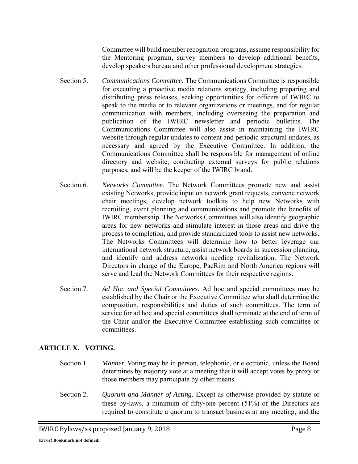Committee will build member recognition programs, assume responsibility for the Mentoring program, survey members to develop additional benefits, develop speakers bureau and other professional development strategies.

- Section 5. *Communications Committee.* The Communications Committee is responsible for executing a proactive media relations strategy, including preparing and distributing press releases, seeking opportunities for officers of IWIRC to speak to the media or to relevant organizations or meetings, and for regular communication with members, including overseeing the preparation and publication of the IWIRC newsletter and periodic bulletins. The Communications Committee will also assist in maintaining the IWIRC website through regular updates to content and periodic structural updates, as necessary and agreed by the Executive Committee. In addition, the Communications Committee shall be responsible for management of online directory and website, conducting external surveys for public relations purposes, and will be the keeper of the IWIRC brand.
- Section 6. *Networks Committee.* The Network Committees promote new and assist existing Networks, provide input on network grant requests, convene network chair meetings, develop network toolkits to help new Networks with recruiting, event planning and communications and promote the benefits of IWIRC membership. The Networks Committees will also identify geographic areas for new networks and stimulate interest in those areas and drive the process to completion, and provide standardized tools to assist new networks. The Networks Committees will determine how to better leverage our international network structure, assist network boards in succession planning, and identify and address networks needing revitalization. The Network Directors in charge of the Europe, PacRim and North America regions will serve and lead the Network Committees for their respective regions.
- Section 7. *Ad Hoc and Special Committees.* Ad hoc and special committees may be established by the Chair or the Executive Committee who shall determine the composition, responsibilities and duties of such committees. The term of service for ad hoc and special committees shall terminate at the end of term of the Chair and/or the Executive Committee establishing such committee or committees.

# **ARTICLE X. VOTING.**

- Section 1. *Manner.* Voting may be in person, telephonic, or electronic, unless the Board determines by majority vote at a meeting that it will accept votes by proxy or those members may participate by other means.
- Section 2. *Quorum and Manner of Acting.* Except as otherwise provided by statute or these by-laws, a minimum of fifty-one percent (51%) of the Directors are required to constitute a quorum to transact business at any meeting, and the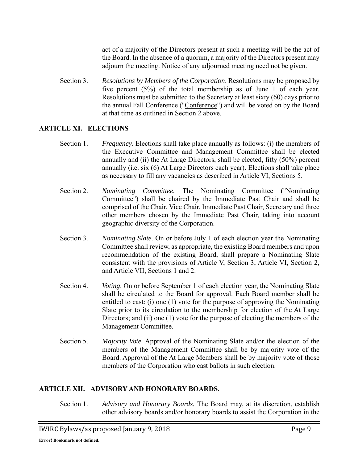act of a majority of the Directors present at such a meeting will be the act of the Board. In the absence of a quorum, a majority of the Directors present may adjourn the meeting. Notice of any adjourned meeting need not be given.

Section 3. *Resolutions by Members of the Corporation*. Resolutions may be proposed by five percent (5%) of the total membership as of June 1 of each year. Resolutions must be submitted to the Secretary at least sixty (60) days prior to the annual Fall Conference ("Conference") and will be voted on by the Board at that time as outlined in Section 2 above.

## **ARTICLE XI. ELECTIONS**

- Section 1. *Frequency*. Elections shall take place annually as follows: (i) the members of the Executive Committee and Management Committee shall be elected annually and (ii) the At Large Directors, shall be elected, fifty (50%) percent annually (i.e. six (6) At Large Directors each year). Elections shall take place as necessary to fill any vacancies as described in Article VI, Sections 5.
- Section 2. *Nominating Committee.* The Nominating Committee ("Nominating Committee") shall be chaired by the Immediate Past Chair and shall be comprised of the Chair, Vice Chair, Immediate Past Chair, Secretary and three other members chosen by the Immediate Past Chair, taking into account geographic diversity of the Corporation.
- Section 3. *Nominating Slate*. On or before July 1 of each election year the Nominating Committee shall review, as appropriate, the existing Board members and upon recommendation of the existing Board, shall prepare a Nominating Slate consistent with the provisions of Article V, Section 3, Article VI, Section 2, and Article VII, Sections 1 and 2.
- Section 4. *Voting*. On or before September 1 of each election year, the Nominating Slate shall be circulated to the Board for approval. Each Board member shall be entitled to cast: (i) one (1) vote for the purpose of approving the Nominating Slate prior to its circulation to the membership for election of the At Large Directors; and (ii) one (1) vote for the purpose of electing the members of the Management Committee.
- Section 5. *Majority Vote*. Approval of the Nominating Slate and/or the election of the members of the Management Committee shall be by majority vote of the Board. Approval of the At Large Members shall be by majority vote of those members of the Corporation who cast ballots in such election.

### **ARTICLE XII. ADVISORY AND HONORARY BOARDS.**

Section 1. *Advisory and Honorary Boards.* The Board may, at its discretion, establish other advisory boards and/or honorary boards to assist the Corporation in the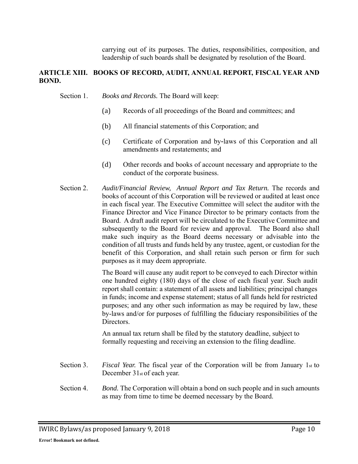carrying out of its purposes. The duties, responsibilities, composition, and leadership of such boards shall be designated by resolution of the Board.

### **ARTICLE XIII. BOOKS OF RECORD, AUDIT, ANNUAL REPORT, FISCAL YEAR AND BOND.**

Section 1. *Books and Records.* The Board will keep:

- (a) Records of all proceedings of the Board and committees; and
- (b) All financial statements of this Corporation; and
- (c) Certificate of Corporation and by-laws of this Corporation and all amendments and restatements; and
- (d) Other records and books of account necessary and appropriate to the conduct of the corporate business.
- Section 2. Audit/Financial Review, Annual Report and Tax Return. The records and books of account of this Corporation will be reviewed or audited at least once in each fiscal year. The Executive Committee will select the auditor with the Finance Director and Vice Finance Director to be primary contacts from the Board. A draft audit report will be circulated to the Executive Committee and subsequently to the Board for review and approval. The Board also shall make such inquiry as the Board deems necessary or advisable into the condition of all trusts and funds held by any trustee, agent, or custodian for the benefit of this Corporation, and shall retain such person or firm for such purposes as it may deem appropriate.

The Board will cause any audit report to be conveyed to each Director within one hundred eighty (180) days of the close of each fiscal year. Such audit report shall contain: a statement of all assets and liabilities; principal changes in funds; income and expense statement; status of all funds held for restricted purposes; and any other such information as may be required by law, these by-laws and/or for purposes of fulfilling the fiduciary responsibilities of the Directors.

An annual tax return shall be filed by the statutory deadline, subject to formally requesting and receiving an extension to the filing deadline.

- Section 3. *Fiscal Year.* The fiscal year of the Corporation will be from January 1st to December 31<sub>st</sub> of each year.
- Section 4. *Bond.* The Corporation will obtain a bond on such people and in such amounts as may from time to time be deemed necessary by the Board.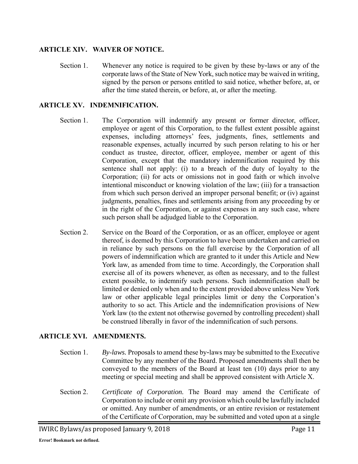## **ARTICLE XIV. WAIVER OF NOTICE.**

Section 1. Whenever any notice is required to be given by these by-laws or any of the corporate laws of the State of New York, such notice may be waived in writing, signed by the person or persons entitled to said notice, whether before, at, or after the time stated therein, or before, at, or after the meeting.

## **ARTICLE XV. INDEMNIFICATION.**

- Section 1. The Corporation will indemnify any present or former director, officer, employee or agent of this Corporation, to the fullest extent possible against expenses, including attorneys' fees, judgments, fines, settlements and reasonable expenses, actually incurred by such person relating to his or her conduct as trustee, director, officer, employee, member or agent of this Corporation, except that the mandatory indemnification required by this sentence shall not apply: (i) to a breach of the duty of loyalty to the Corporation; (ii) for acts or omissions not in good faith or which involve intentional misconduct or knowing violation of the law; (iii) for a transaction from which such person derived an improper personal benefit; or (iv) against judgments, penalties, fines and settlements arising from any proceeding by or in the right of the Corporation, or against expenses in any such case, where such person shall be adjudged liable to the Corporation.
- Section 2. Service on the Board of the Corporation, or as an officer, employee or agent thereof, is deemed by this Corporation to have been undertaken and carried on in reliance by such persons on the full exercise by the Corporation of all powers of indemnification which are granted to it under this Article and New York law, as amended from time to time. Accordingly, the Corporation shall exercise all of its powers whenever, as often as necessary, and to the fullest extent possible, to indemnify such persons. Such indemnification shall be limited or denied only when and to the extent provided above unless New York law or other applicable legal principles limit or deny the Corporation's authority to so act. This Article and the indemnification provisions of New York law (to the extent not otherwise governed by controlling precedent) shall be construed liberally in favor of the indemnification of such persons.

### **ARTICLE XVI. AMENDMENTS.**

- Section 1. *By*-*laws.* Proposals to amend these by-laws may be submitted to the Executive Committee by any member of the Board. Proposed amendments shall then be conveyed to the members of the Board at least ten (10) days prior to any meeting or special meeting and shall be approved consistent with Article X.
- Section 2. *Certificate of Corporation.* The Board may amend the Certificate of Corporation to include or omit any provision which could be lawfully included or omitted. Any number of amendments, or an entire revision or restatement of the Certificate of Corporation, may be submitted and voted upon at a single